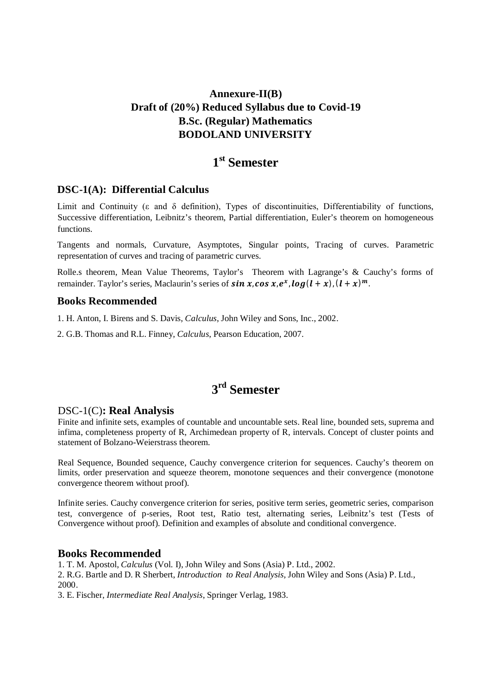## **Annexure-II(B) Draft of (20%) Reduced Syllabus due to Covid-19 B.Sc. (Regular) Mathematics BODOLAND UNIVERSITY**

# **1 st Semester**

### **DSC-1(A): Differential Calculus**

Limit and Continuity ( $\varepsilon$  and  $\delta$  definition), Types of discontinuities, Differentiability of functions, Successive differentiation, Leibnitz's theorem, Partial differentiation, Euler's theorem on homogeneous functions.

Tangents and normals, Curvature, Asymptotes, Singular points, Tracing of curves. Parametric representation of curves and tracing of parametric curves.

Rolle.s theorem, Mean Value Theorems, Taylor's Theorem with Lagrange's & Cauchy's forms of remainder. Taylor's series, Maclaurin's series of  $sin\,x_{\cdot}\,cos\,x_{\cdot}\,e^{x_{\cdot}}\,log(l+x)$  ,  $(l+x)^m$  .

#### **Books Recommended**

1. H. Anton, I. Birens and S. Davis, *Calculus*, John Wiley and Sons, Inc., 2002.

2. G.B. Thomas and R.L. Finney, *Calculus*, Pearson Education, 2007.

# **3 rd Semester**

### DSC-1(C)**: Real Analysis**

Finite and infinite sets, examples of countable and uncountable sets. Real line, bounded sets, suprema and infima, completeness property of R, Archimedean property of R, intervals. Concept of cluster points and statement of Bolzano-Weierstrass theorem.

Real Sequence, Bounded sequence, Cauchy convergence criterion for sequences. Cauchy's theorem on limits, order preservation and squeeze theorem, monotone sequences and their convergence (monotone convergence theorem without proof).

Infinite series. Cauchy convergence criterion for series, positive term series, geometric series, comparison test, convergence of p-series, Root test, Ratio test, alternating series, Leibnitz's test (Tests of Convergence without proof). Definition and examples of absolute and conditional convergence.

#### **Books Recommended**

1. T. M. Apostol, *Calculus* (Vol. I), John Wiley and Sons (Asia) P. Ltd., 2002.

2. R.G. Bartle and D. R Sherbert, *Introduction to Real Analysis,* John Wiley and Sons (Asia) P. Ltd., 2000.

3. E. Fischer, *Intermediate Real Analysis*, Springer Verlag, 1983.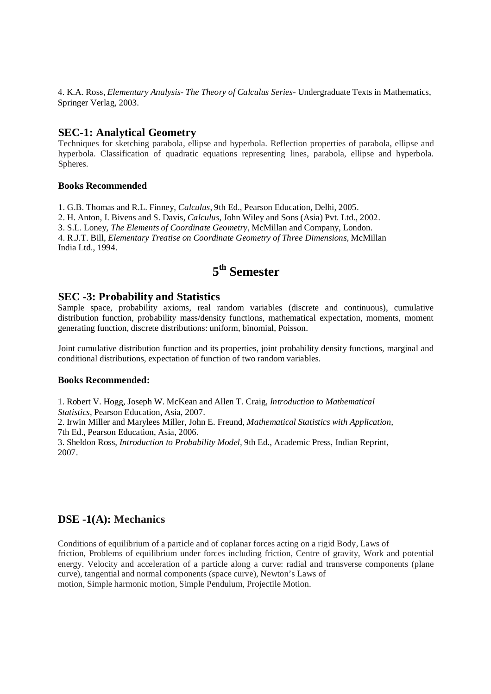4. K.A. Ross, *Elementary Analysis- The Theory of Calculus Series-* Undergraduate Texts in Mathematics, Springer Verlag, 2003.

#### **SEC-1: Analytical Geometry**

Techniques for sketching parabola, ellipse and hyperbola. Reflection properties of parabola, ellipse and hyperbola. Classification of quadratic equations representing lines, parabola, ellipse and hyperbola. Spheres.

#### **Books Recommended**

1. G.B. Thomas and R.L. Finney, *Calculus*, 9th Ed., Pearson Education, Delhi, 2005.

2. H. Anton, I. Bivens and S. Davis, *Calculus*, John Wiley and Sons (Asia) Pvt. Ltd., 2002.

3. S.L. Loney, *The Elements of Coordinate Geometry*, McMillan and Company, London.

4. R.J.T. Bill, *Elementary Treatise on Coordinate Geometry of Three Dimensions*, McMillan India Ltd., 1994.

# **5 th Semester**

#### **SEC -3: Probability and Statistics**

Sample space, probability axioms, real random variables (discrete and continuous), cumulative distribution function, probability mass/density functions, mathematical expectation, moments, moment generating function, discrete distributions: uniform, binomial, Poisson.

Joint cumulative distribution function and its properties, joint probability density functions, marginal and conditional distributions, expectation of function of two random variables.

#### **Books Recommended:**

1. Robert V. Hogg, Joseph W. McKean and Allen T. Craig, *Introduction to Mathematical Statistics*, Pearson Education, Asia, 2007.

2. Irwin Miller and Marylees Miller, John E. Freund, *Mathematical Statistics with Application,* 7th Ed., Pearson Education, Asia, 2006.

3. Sheldon Ross, *Introduction to Probability Model,* 9th Ed., Academic Press, Indian Reprint, 2007.

### **DSE -1(A): Mechanics**

Conditions of equilibrium of a particle and of coplanar forces acting on a rigid Body, Laws of friction, Problems of equilibrium under forces including friction, Centre of gravity, Work and potential energy. Velocity and acceleration of a particle along a curve: radial and transverse components (plane curve), tangential and normal components (space curve), Newton's Laws of motion, Simple harmonic motion, Simple Pendulum, Projectile Motion.